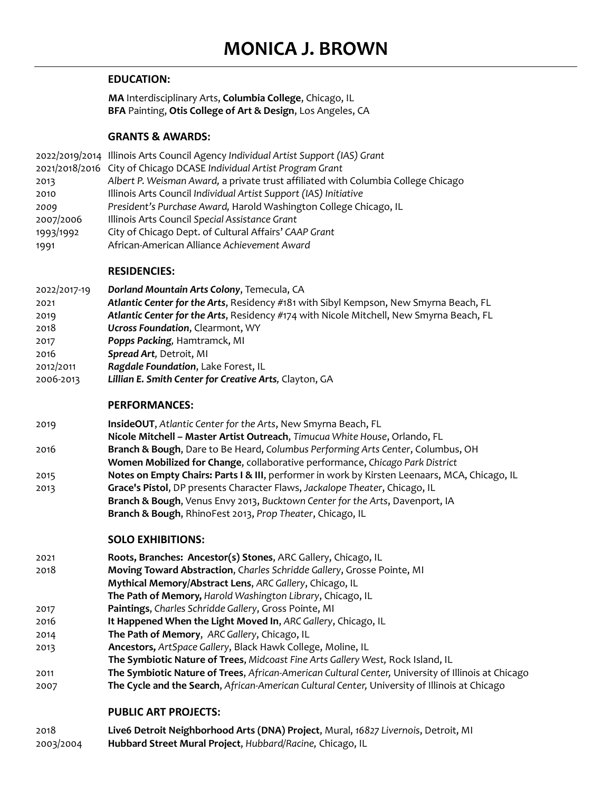## **EDUCATION:**

 **MA** Interdisciplinary Arts, **Columbia College**, Chicago, IL **BFA** Painting, **Otis College of Art & Design**, Los Angeles, CA

#### **GRANTS & AWARDS:**

|           | 2022/2019/2014 Illinois Arts Council Agency Individual Artist Support (IAS) Grant |
|-----------|-----------------------------------------------------------------------------------|
|           | 2021/2018/2016 City of Chicago DCASE Individual Artist Program Grant              |
| 2013      | Albert P. Weisman Award, a private trust affiliated with Columbia College Chicago |
| 2010      | Illinois Arts Council Individual Artist Support (IAS) Initiative                  |
| 2009      | President's Purchase Award, Harold Washington College Chicago, IL                 |
| 2007/2006 | Illinois Arts Council Special Assistance Grant                                    |
| 1993/1992 | City of Chicago Dept. of Cultural Affairs' CAAP Grant                             |
| 1991      | African-American Alliance Achievement Award                                       |
|           |                                                                                   |

#### **RESIDENCIES:**

| 2022/2017-19 | Dorland Mountain Arts Colony, Temecula, CA                                              |
|--------------|-----------------------------------------------------------------------------------------|
| 2021         | Atlantic Center for the Arts, Residency #181 with Sibyl Kempson, New Smyrna Beach, FL   |
| 2019         | Atlantic Center for the Arts, Residency #174 with Nicole Mitchell, New Smyrna Beach, FL |
| 2018         | <b>Ucross Foundation, Clearmont, WY</b>                                                 |
| 2017         | Popps Packing, Hamtramck, MI                                                            |
| 2016         | Spread Art, Detroit, MI                                                                 |
| 2012/2011    | Ragdale Foundation, Lake Forest, IL                                                     |
| 2006-2013    | Lillian E. Smith Center for Creative Arts, Clayton, GA                                  |

#### **PERFORMANCES:**

- 2019 **InsideOUT**, *Atlantic Center for the Arts*, New Smyrna Beach, FL
- **Nicole Mitchell – Master Artist Outreach**, *Timucua White House*, Orlando, FL
- 2016 **Branch & Bough**, Dare to Be Heard, *Columbus Performing Arts Center*, Columbus, OH
- **Women Mobilized for Change**, collaborative performance, *Chicago Park District* 2015 **Notes on Empty Chairs: Parts I & III**, performer in work by Kirsten Leenaars, MCA, Chicago, IL 2013 **Grace's Pistol**, DP presents Character Flaws, *Jackalope Theater*, Chicago, IL **Branch & Bough**, Venus Envy 2013, *Bucktown Center for the Arts*, Davenport, IA **Branch & Bough**, RhinoFest 2013, *Prop Theater*, Chicago, IL

## **SOLO EXHIBITIONS:**

- 2021 **Roots, Branches: Ancestor(s) Stones**, ARC Gallery, Chicago, IL
- 2018 **Moving Toward Abstraction**, C*harles Schridde Gallery*, Grosse Pointe, MI
- **Mythical Memory/Abstract Lens**, *ARC Gallery*, Chicago, IL
- **The Path of Memory,** *Harold Washington Library*, Chicago, IL
- 2017 **Paintings**, *Charles Schridde Gallery*, Gross Pointe, MI
- 2016 **It Happened When the Light Moved In**, *ARC Gallery*, Chicago, IL
- 2014 **The Path of Memory**, *ARC Gallery*, Chicago, IL
- 2013 **Ancestors,** *ArtSpace Gallery*, Black Hawk College, Moline, IL
- **The Symbiotic Nature of Trees**, *Midcoast Fine Arts Gallery West,* Rock Island, IL
- 2011 **The Symbiotic Nature of Trees**, *African-American Cultural Center,* University of Illinois at Chicago
- 2007 **The Cycle and the Search**, *African-American Cultural Center,* University of Illinois at Chicago

## **PUBLIC ART PROJECTS:**

2018 **Live6 Detroit Neighborhood Arts (DNA) Project**, Mural, *16827 Livernois*, Detroit, MI 2003/2004 **Hubbard Street Mural Project**, *Hubbard/Racine,* Chicago, IL